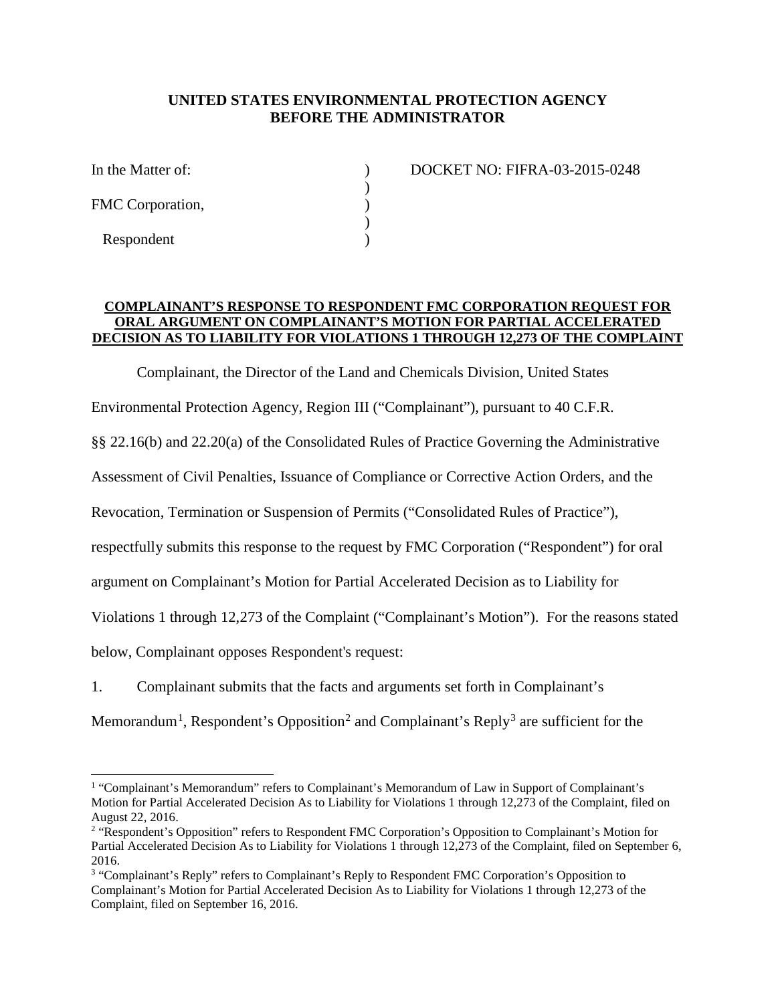### **UNITED STATES ENVIRONMENTAL PROTECTION AGENCY BEFORE THE ADMINISTRATOR**

 $\mathcal{L}$ 

)

FMC Corporation,

Respondent )

In the Matter of:  $DOCKET NO: FIFA-03-2015-0248$ 

#### **COMPLAINANT'S RESPONSE TO RESPONDENT FMC CORPORATION REQUEST FOR ORAL ARGUMENT ON COMPLAINANT'S MOTION FOR PARTIAL ACCELERATED DECISION AS TO LIABILITY FOR VIOLATIONS 1 THROUGH 12,273 OF THE COMPLAINT**

Complainant, the Director of the Land and Chemicals Division, United States

Environmental Protection Agency, Region III ("Complainant"), pursuant to 40 C.F.R.

§§ 22.16(b) and 22.20(a) of the Consolidated Rules of Practice Governing the Administrative

Assessment of Civil Penalties, Issuance of Compliance or Corrective Action Orders, and the

Revocation, Termination or Suspension of Permits ("Consolidated Rules of Practice"),

respectfully submits this response to the request by FMC Corporation ("Respondent") for oral

argument on Complainant's Motion for Partial Accelerated Decision as to Liability for

Violations 1 through 12,273 of the Complaint ("Complainant's Motion"). For the reasons stated

below, Complainant opposes Respondent's request:

1. Complainant submits that the facts and arguments set forth in Complainant's

Memorandum<sup>[1](#page-0-0)</sup>, Respondent's Opposition<sup>[2](#page-0-1)</sup> and Complainant's Reply<sup>[3](#page-0-2)</sup> are sufficient for the

<span id="page-0-0"></span><sup>&</sup>lt;sup>1</sup> "Complainant's Memorandum" refers to Complainant's Memorandum of Law in Support of Complainant's Motion for Partial Accelerated Decision As to Liability for Violations 1 through 12,273 of the Complaint, filed on August 22, 2016.

<span id="page-0-1"></span><sup>2</sup> "Respondent's Opposition" refers to Respondent FMC Corporation's Opposition to Complainant's Motion for Partial Accelerated Decision As to Liability for Violations 1 through 12,273 of the Complaint, filed on September 6,

<span id="page-0-2"></span><sup>2016. 3</sup> "Complainant's Reply" refers to Complainant's Reply to Respondent FMC Corporation's Opposition to Complainant's Motion for Partial Accelerated Decision As to Liability for Violations 1 through 12,273 of the Complaint, filed on September 16, 2016.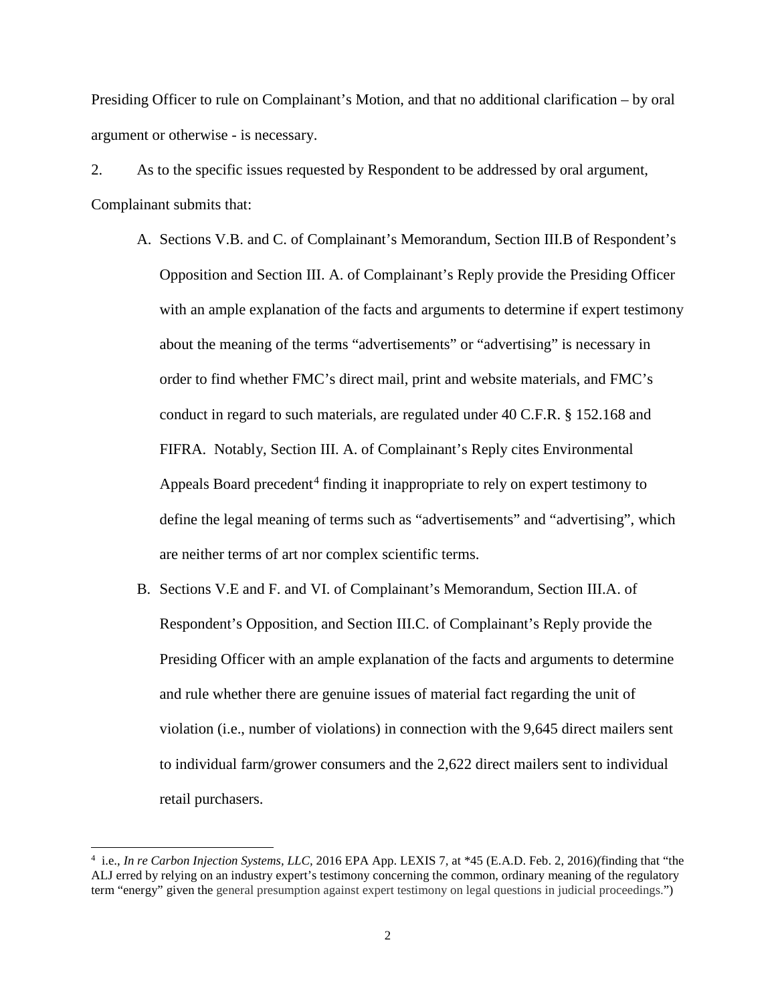Presiding Officer to rule on Complainant's Motion, and that no additional clarification – by oral argument or otherwise - is necessary.

2. As to the specific issues requested by Respondent to be addressed by oral argument, Complainant submits that:

- A. Sections V.B. and C. of Complainant's Memorandum, Section III.B of Respondent's Opposition and Section III. A. of Complainant's Reply provide the Presiding Officer with an ample explanation of the facts and arguments to determine if expert testimony about the meaning of the terms "advertisements" or "advertising" is necessary in order to find whether FMC's direct mail, print and website materials, and FMC's conduct in regard to such materials, are regulated under 40 C.F.R. § 152.168 and FIFRA. Notably, Section III. A. of Complainant's Reply cites Environmental Appeals Board precedent<sup>[4](#page-1-0)</sup> finding it inappropriate to rely on expert testimony to define the legal meaning of terms such as "advertisements" and "advertising", which are neither terms of art nor complex scientific terms.
- B. Sections V.E and F. and VI. of Complainant's Memorandum, Section III.A. of Respondent's Opposition, and Section III.C. of Complainant's Reply provide the Presiding Officer with an ample explanation of the facts and arguments to determine and rule whether there are genuine issues of material fact regarding the unit of violation (i.e., number of violations) in connection with the 9,645 direct mailers sent to individual farm/grower consumers and the 2,622 direct mailers sent to individual retail purchasers.

<span id="page-1-0"></span> <sup>4</sup> i.e., *In re Carbon Injection Systems, LLC,* 2016 EPA App. LEXIS 7*,* at \*45 (E.A.D. Feb. 2, 2016)*(*finding that "the ALJ erred by relying on an industry expert's testimony concerning the common, ordinary meaning of the regulatory term "energy" given the general presumption against expert testimony on legal questions in judicial proceedings.")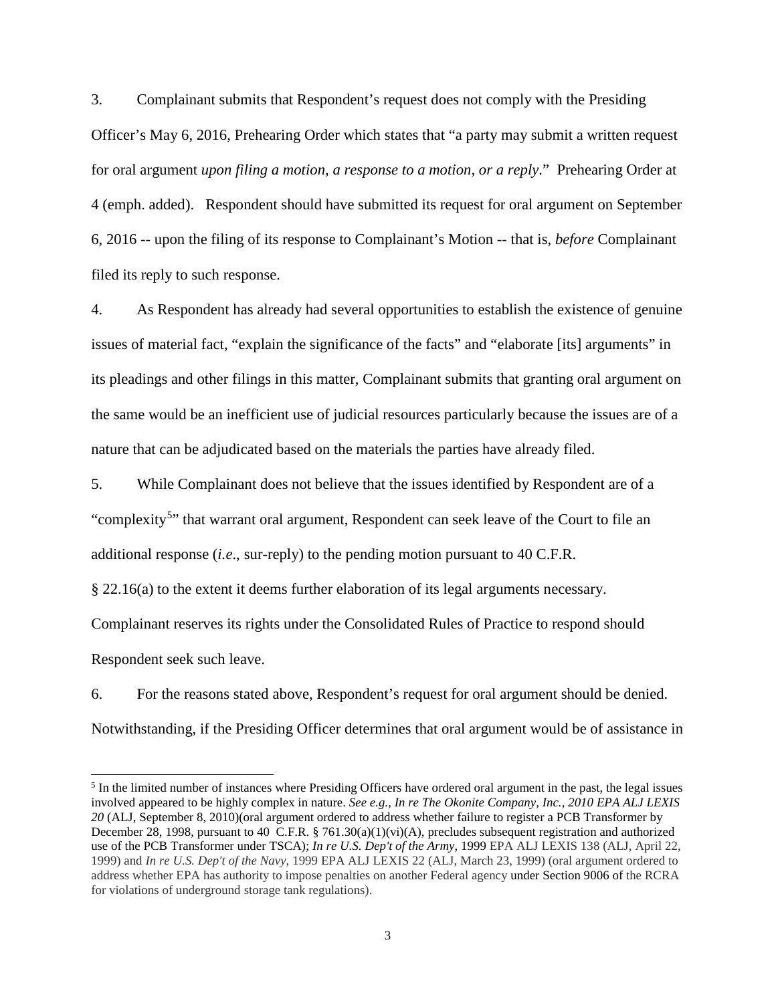3. Complainant submits that Respondent's request does not comply with the Presiding Officer's May 6, 2016, Prehearing Order which states that "a party may submit a written request for oral argument *upon filing a motion, a response to a motion, or a reply*." Prehearing Order at 4 (emph. added). Respondent should have submitted its request for oral argument on September 6, 2016 -- upon the filing of its response to Complainant's Motion -- that is, *before* Complainant filed its reply to such response.

4. As Respondent has already had several opportunities to establish the existence of genuine issues of material fact, "explain the significance of the facts" and "elaborate [its] arguments" in its pleadings and other filings in this matter, Complainant submits that granting oral argument on the same would be an inefficient use of judicial resources particularly because the issues are of a nature that can be adjudicated based on the materials the parties have already filed.

5. While Complainant does not believe that the issues identified by Respondent are of a "complexity<sup>[5](#page-2-0)</sup>" that warrant oral argument, Respondent can seek leave of the Court to file an additional response (*i.e*., sur-reply) to the pending motion pursuant to 40 C.F.R.

§ 22.16(a) to the extent it deems further elaboration of its legal arguments necessary.

Complainant reserves its rights under the Consolidated Rules of Practice to respond should Respondent seek such leave.

6. For the reasons stated above, Respondent's request for oral argument should be denied. Notwithstanding, if the Presiding Officer determines that oral argument would be of assistance in

<span id="page-2-0"></span><sup>&</sup>lt;sup>5</sup> In the limited number of instances where Presiding Officers have ordered oral argument in the past, the legal issues involved appeared to be highly complex in nature. *See e.g., In re The Okonite Company, Inc.*, *2010 EPA ALJ LEXIS 20* (ALJ, September 8, 2010)(oral argument ordered to address whether failure to register a PCB Transformer by December 28, 1998, pursuant to 40 C.F.R. § 761.30(a)(1)(vi)(A), precludes subsequent registration and authorized use of the PCB Transformer under TSCA); *In re U.S. Dep't of the Army*, 1999 EPA ALJ LEXIS 138 (ALJ, April 22, 1999) and *In re U.S. Dep't of the Navy*, 1999 EPA ALJ LEXIS 22 (ALJ, March 23, 1999) (oral argument ordered to address whether EPA has authority to impose penalties on another Federal agency under [Section 9006](http://www.lexis.com/research/buttonTFLink?_m=96351a4967454f619384d22ec95d2d25&_xfercite=%3ccite%20cc%3d%22USA%22%3e%3c%21%5bCDATA%5b1999%20EPA%20ALJ%20LEXIS%20138%5d%5d%3e%3c%2fcite%3e&_butType=4&_butStat=0&_butNum=2&_butInline=1&_butinfo=42%20U.S.C.%206991E&_fmtstr=FULL&docnum=15&_startdoc=11&wchp=dGLzVzt-zSkAz&_md5=2ee9fc493855fac3aa14a5b91819cd3e) of the RCRA for violations of underground storage tank regulations).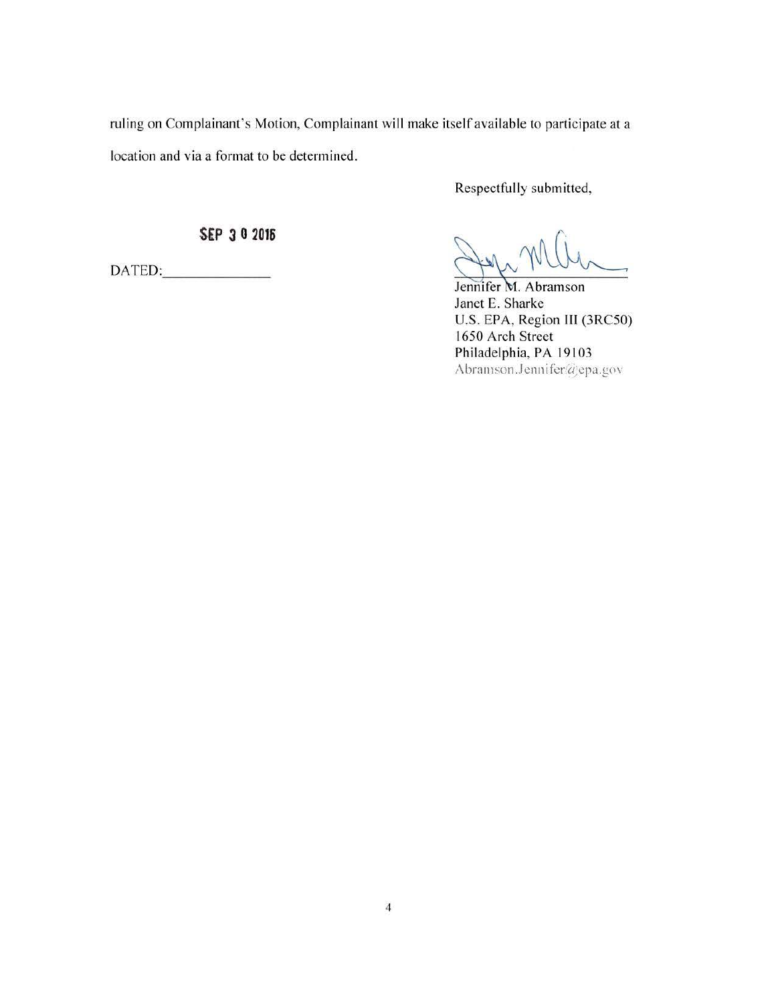ruling on Complainant's Motion, Complainant will make itself available to participate at a location and via a format to be determined.

Respectfully submitted,

SEP 3 0 2016

Jennifer M. Abramson Janet E. Sharke U.S. EPA, Region III (3RC50) 1650 Arch Street Philadelphia, PA 19103 Abramson.Jennifer@epa.gov